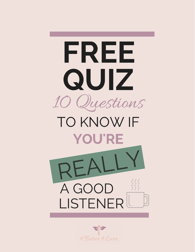

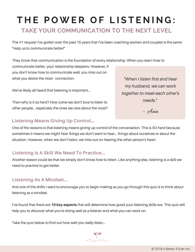# **T H E P O W E R O F L I S T E N I N G : TAKE YOUR COMMUNICATION TO THE NEXT LEVEL**

The #1 request I've gotten over the past 15 years that I've been coaching women and couples is the same: "Help us to communicate better!"

communicate better, your relationship deepens. However, if you don't know how to communicate well, you miss out on what you desire the most - connection. They know that communication is the foundation of every relationship. When you learn how to

We've likely all heard that listening is important...

Then why is it so hard? How come we don't love to listen to other people... especially the ones we care about the most?

#### **Listening Means Giving Up Control...**

One of the reasons is that listening means giving up control of the conversation. This is SO hard because sometimes it means we might hear things we don't want to hear... things about ourselves or about the situation. However, when we don't listen, we miss out on hearing the other person's heart.

#### **Listening Is A Skill We Need To Practice...**

Another reason could be that we simply don't know *how* to listen. Like anything else, listening is a skill we need to practice to get better.

#### **Listening As A Mindset...**

And one of the shifts I want to encourage you to begin making as you go through this quiz is to think about listening as a mindset.

I've found that there are **10 key aspects** that will determine how good your listening skills are. This quiz will help you to discover what you're doing well as a listener and what you can work on.

Take the quiz below to find out how well you *really* listen…



*"When I listen first and hear my husband, we can work together to meet each other's needs."*

- Ann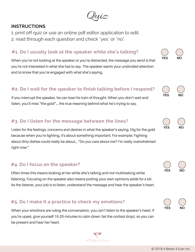$u$ iz

# **INSTRUCTIONS**

- 1. print off quiz or use an online pdf editor application to edit.
- 2. read through each question and check "yes" or "no".

# **#1. Do I usually look at the speaker while she's talking?**

When you're not looking at the speaker or you're distracted, the message you send is that you're not interested in what she has to say. The speaker wants your undivided attention and to know that you're engaged with what she's saying.

# **#2. Do I wait for the speaker to finish talking before I respond?**

If you interrupt the speaker, he can lose his train of thought. When you don't wait and listen, you'll miss "the gold"... the true meaning behind what he's trying to say.

# **#3. Do I listen for the message between the lines?**

Listen for the feelings, concerns and desires in what the speaker's saying. Dig for the gold because when you're fighting, it's about something important. For example: Fighting about dirty dishes could really be about… "Do you care about me? I'm really overwhelmed right now."

# **#4. Do I focus on the speaker?**

Often times this means looking at her while she's talking and not multitasking while listening. Focusing on the speaker also means putting your own opinions aside for a bit. As the listener, your job is to listen, understand the message and hear the speaker's heart.

# **#5. Do I make it a practice to check my emotions?**

When your emotions are ruling the conversation, you can't listen to the speaker's heart. If you're upset, give yourself 15-20 minutes to calm down (let the cortisol drop), so you can be present and hear her heart.



**YES NO**

**YES NO**

**YES NO**

**YES NO**

**YES NO**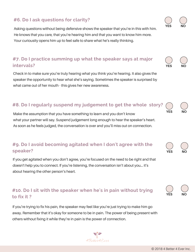#### © 2018 4 Better 4 Ever Inc.

## **#6. Do I ask questions for clarity?**

Asking questions without being defensive shows the speaker that you're in this with him. He knows that you care, that you're hearing him and that you want to know him more. Your curiousity opens him up to feel safe to share what he's really thinking.

### **#7. Do I practice summing up what the speaker says at major intervals?**

Check in to make sure you're truly hearing what you think you're hearing. It also gives the speaker the opportunity to hear what she's saying. Sometimes the speaker is surprised by what came out of her mouth - this gives her new awareness.

## **#8. Do I regularly suspend my judgement to get the whole story?**

**YES** Make the assumption that you have something to learn and you don't know what your partner will say. Suspend judgement long enough to hear the speaker's heart. As soon as he feels judged, the conversation is over and you'll miss out on connection.

## **#9. Do I avoid becoming agitated when I don't agree with the**  $S$  **peaker**?

If you get agitated when you don't agree, you're focused on the need to be right and that doesn't help you to connect. If you're listening, the conversation isn't about you... it's about hearing the other person's heart.

## **#10. Do I sit with the speaker when he's in pain without trying to fix it ?**

If you're trying to fix his pain, the speaker may feel like you're just trying to make him go away. Remember that it's okay for someone to be in pain. The power of being present with others without fixing it while they're in pain is the power of connection.











**YES NO**

**YES NO**